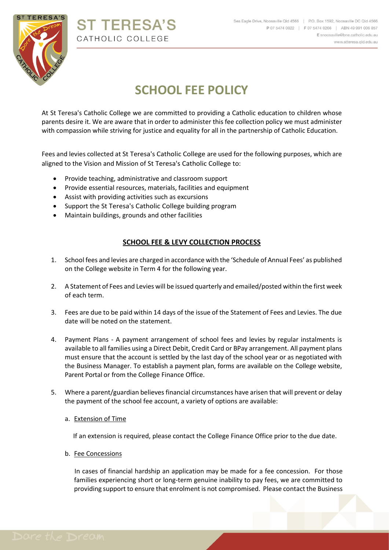

# **ST TERESA'S** CATHOLIC COLLEGE

# **SCHOOL FEE POLICY**

At St Teresa's Catholic College we are committed to providing a Catholic education to children whose parents desire it. We are aware that in order to administer this fee collection policy we must administer with compassion while striving for justice and equality for all in the partnership of Catholic Education.

Fees and levies collected at St Teresa's Catholic College are used for the following purposes, which are aligned to the Vision and Mission of St Teresa's Catholic College to:

- Provide teaching, administrative and classroom support
- Provide essential resources, materials, facilities and equipment
- Assist with providing activities such as excursions
- Support the St Teresa's Catholic College building program
- Maintain buildings, grounds and other facilities

# **SCHOOL FEE & LEVY COLLECTION PROCESS**

- 1. School fees and levies are charged in accordance with the 'Schedule of Annual Fees' as published on the College website in Term 4 for the following year.
- 2. A Statement of Fees and Levies will be issued quarterly and emailed/posted within the first week of each term.
- 3. Fees are due to be paid within 14 days of the issue of the Statement of Fees and Levies. The due date will be noted on the statement.
- 4. Payment Plans A payment arrangement of school fees and levies by regular instalments is available to all families using a Direct Debit, Credit Card or BPay arrangement. All payment plans must ensure that the account is settled by the last day of the school year or as negotiated with the Business Manager. To establish a payment plan, forms are available on the College website, Parent Portal or from the College Finance Office.
- 5. Where a parent/guardian believes financial circumstances have arisen that will prevent or delay the payment of the school fee account, a variety of options are available:
	- a. Extension of Time

If an extension is required, please contact the College Finance Office prior to the due date.

b. Fee Concessions

In cases of financial hardship an application may be made for a fee concession. For those families experiencing short or long-term genuine inability to pay fees, we are committed to providing support to ensure that enrolment is not compromised. Please contact the Business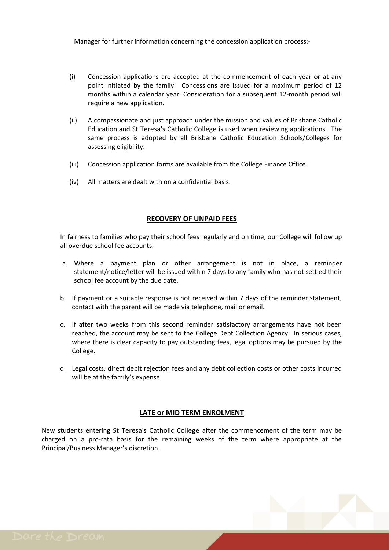Manager for further information concerning the concession application process:-

- (i) Concession applications are accepted at the commencement of each year or at any point initiated by the family. Concessions are issued for a maximum period of 12 months within a calendar year. Consideration for a subsequent 12-month period will require a new application.
- (ii) A compassionate and just approach under the mission and values of Brisbane Catholic Education and St Teresa's Catholic College is used when reviewing applications. The same process is adopted by all Brisbane Catholic Education Schools/Colleges for assessing eligibility.
- (iii) Concession application forms are available from the College Finance Office.
- (iv) All matters are dealt with on a confidential basis.

#### **RECOVERY OF UNPAID FEES**

In fairness to families who pay their school fees regularly and on time, our College will follow up all overdue school fee accounts.

- a. Where a payment plan or other arrangement is not in place, a reminder statement/notice/letter will be issued within 7 days to any family who has not settled their school fee account by the due date.
- b. If payment or a suitable response is not received within 7 days of the reminder statement, contact with the parent will be made via telephone, mail or email.
- c. If after two weeks from this second reminder satisfactory arrangements have not been reached, the account may be sent to the College Debt Collection Agency. In serious cases, where there is clear capacity to pay outstanding fees, legal options may be pursued by the College.
- d. Legal costs, direct debit rejection fees and any debt collection costs or other costs incurred will be at the family's expense.

# **LATE or MID TERM ENROLMENT**

New students entering St Teresa's Catholic College after the commencement of the term may be charged on a pro-rata basis for the remaining weeks of the term where appropriate at the Principal/Business Manager's discretion.

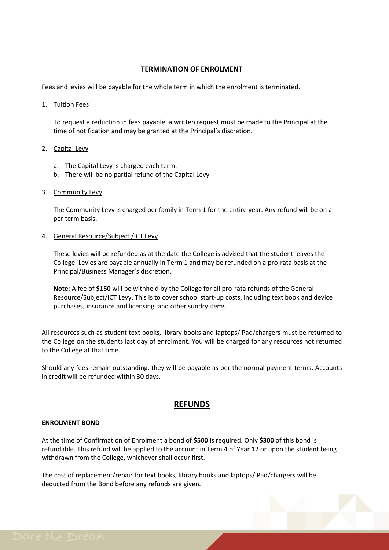### **TERMINATION OF ENROLMENT**

Fees and levies will be payable for the whole term in which the enrolment is terminated.

1. Tuition Fees

To request a reduction in fees payable, a written request must be made to the Principal at the time of notification and may be granted at the Principal's discretion.

#### 2. Capital Levy

- a. The Capital Levy is charged each term.
- b. There will be no partial refund of the Capital Levy
- 3. Community Levy

The Community Levy is charged per family in Term 1 for the entire year. Any refund will be on a per term basis.

4. General Resource/Subject /ICT Levy

These levies will be refunded as at the date the College is advised that the student leaves the College. Levies are payable annually in Term 1 and may be refunded on a pro-rata basis at the Principal/Business Manager's discretion.

**Note**: A fee of **\$150** will be withheld by the College for all pro-rata refunds of the General Resource/Subject/ICT Levy. This is to cover school start-up costs, including text book and device purchases, insurance and licensing, and other sundry items.

All resources such as student text books, library books and laptops/iPad/chargers must be returned to the College on the students last day of enrolment. You will be charged for any resources not returned to the College at that time.

Should any fees remain outstanding, they will be payable as per the normal payment terms. Accounts in credit will be refunded within 30 days.

# **REFUNDS**

#### **ENROLMENT BOND**

At the time of Confirmation of Enrolment a bond of **\$500** is required. Only **\$300** of this bond is refundable. This refund will be applied to the account in Term 4 of Year 12 or upon the student being withdrawn from the College, whichever shall occur first.

The cost of replacement/repair for text books, library books and laptops/iPad/chargers will be deducted from the Bond before any refunds are given.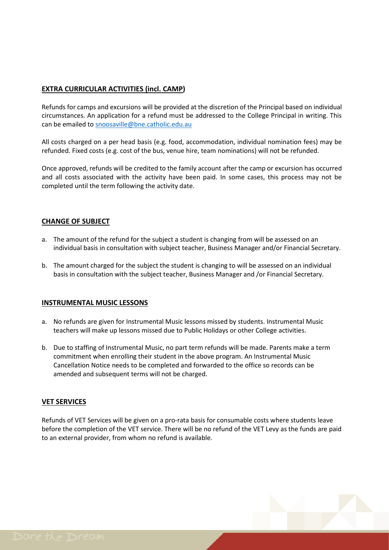# **EXTRA CURRICULAR ACTIVITIES (incl. CAMP)**

Refunds for camps and excursions will be provided at the discretion of the Principal based on individual circumstances. An application for a refund must be addressed to the College Principal in writing. This can be emailed to [snoosaville@bne.catholic.edu.au](mailto:snoosaville@bne.catholic.edu.au)

All costs charged on a per head basis (e.g. food, accommodation, individual nomination fees) may be refunded. Fixed costs (e.g. cost of the bus, venue hire, team nominations) will not be refunded.

Once approved, refunds will be credited to the family account after the camp or excursion has occurred and all costs associated with the activity have been paid. In some cases, this process may not be completed until the term following the activity date.

# **CHANGE OF SUBJECT**

- a. The amount of the refund for the subject a student is changing from will be assessed on an individual basis in consultation with subject teacher, Business Manager and/or Financial Secretary.
- b. The amount charged for the subject the student is changing to will be assessed on an individual basis in consultation with the subject teacher, Business Manager and /or Financial Secretary.

# **INSTRUMENTAL MUSIC LESSONS**

- a. No refunds are given for Instrumental Music lessons missed by students. Instrumental Music teachers will make up lessons missed due to Public Holidays or other College activities.
- b. Due to staffing of Instrumental Music, no part term refunds will be made. Parents make a term commitment when enrolling their student in the above program. An Instrumental Music Cancellation Notice needs to be completed and forwarded to the office so records can be amended and subsequent terms will not be charged.

# **VET SERVICES**

Refunds of VET Services will be given on a pro-rata basis for consumable costs where students leave before the completion of the VET service. There will be no refund of the VET Levy as the funds are paid to an external provider, from whom no refund is available.